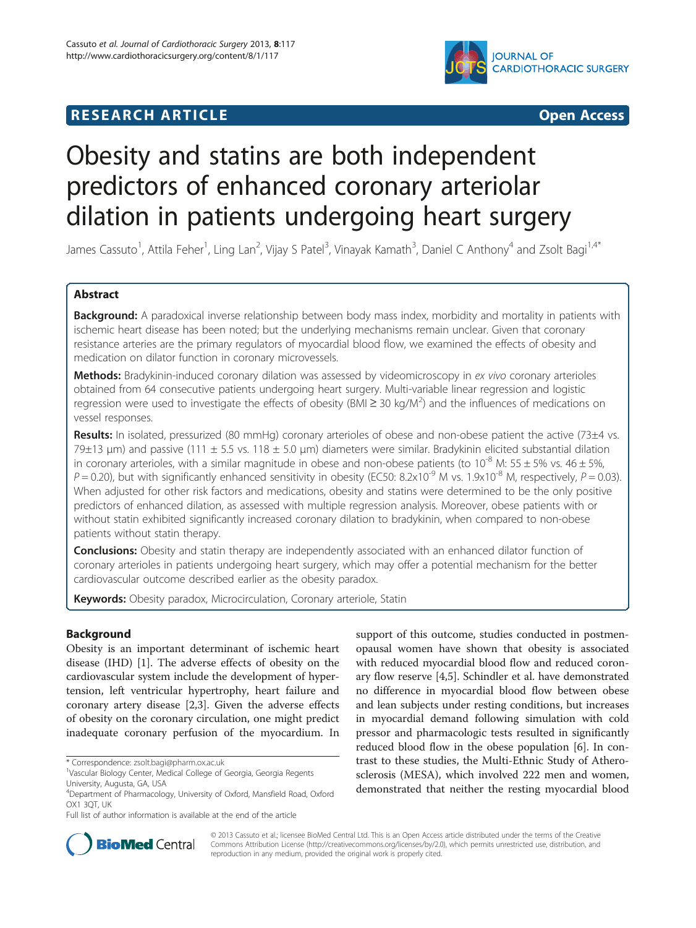



# Obesity and statins are both independent predictors of enhanced coronary arteriolar dilation in patients undergoing heart surgery

James Cassuto<sup>1</sup>, Attila Feher<sup>1</sup>, Ling Lan<sup>2</sup>, Vijay S Patel<sup>3</sup>, Vinayak Kamath<sup>3</sup>, Daniel C Anthony<sup>4</sup> and Zsolt Bagi<sup>1,4\*</sup>

# Abstract

Background: A paradoxical inverse relationship between body mass index, morbidity and mortality in patients with ischemic heart disease has been noted; but the underlying mechanisms remain unclear. Given that coronary resistance arteries are the primary regulators of myocardial blood flow, we examined the effects of obesity and medication on dilator function in coronary microvessels.

Methods: Bradykinin-induced coronary dilation was assessed by videomicroscopy in ex vivo coronary arterioles obtained from 64 consecutive patients undergoing heart surgery. Multi-variable linear regression and logistic regression were used to investigate the effects of obesity (BMI  $\geq$  30 kg/M<sup>2</sup>) and the influences of medications on vessel responses.

Results: In isolated, pressurized (80 mmHg) coronary arterioles of obese and non-obese patient the active (73±4 vs.  $79\pm13$  µm) and passive (111  $\pm$  5.5 vs. 118  $\pm$  5.0 µm) diameters were similar. Bradykinin elicited substantial dilation in coronary arterioles, with a similar magnitude in obese and non-obese patients (to  $10^{-8}$  M:  $55 \pm 5%$  vs.  $46 \pm 5%$ ,  $P = 0.20$ ), but with significantly enhanced sensitivity in obesity (EC50: 8.2x10<sup>-9</sup> M vs. 1.9x10<sup>-8</sup> M, respectively,  $P = 0.03$ ). When adjusted for other risk factors and medications, obesity and statins were determined to be the only positive predictors of enhanced dilation, as assessed with multiple regression analysis. Moreover, obese patients with or without statin exhibited significantly increased coronary dilation to bradykinin, when compared to non-obese patients without statin therapy.

**Conclusions:** Obesity and statin therapy are independently associated with an enhanced dilator function of coronary arterioles in patients undergoing heart surgery, which may offer a potential mechanism for the better cardiovascular outcome described earlier as the obesity paradox.

Keywords: Obesity paradox, Microcirculation, Coronary arteriole, Statin

# **Background**

Obesity is an important determinant of ischemic heart disease (IHD) [[1\]](#page-7-0). The adverse effects of obesity on the cardiovascular system include the development of hypertension, left ventricular hypertrophy, heart failure and coronary artery disease [[2,3\]](#page-7-0). Given the adverse effects of obesity on the coronary circulation, one might predict inadequate coronary perfusion of the myocardium. In

support of this outcome, studies conducted in postmenopausal women have shown that obesity is associated with reduced myocardial blood flow and reduced coronary flow reserve [\[4,5](#page-7-0)]. Schindler et al. have demonstrated no difference in myocardial blood flow between obese and lean subjects under resting conditions, but increases in myocardial demand following simulation with cold pressor and pharmacologic tests resulted in significantly reduced blood flow in the obese population [[6\]](#page-7-0). In contrast to these studies, the Multi-Ethnic Study of Atherosclerosis (MESA), which involved 222 men and women, demonstrated that neither the resting myocardial blood



© 2013 Cassuto et al.; licensee BioMed Central Ltd. This is an Open Access article distributed under the terms of the Creative Commons Attribution License [\(http://creativecommons.org/licenses/by/2.0\)](http://creativecommons.org/licenses/by/2.0), which permits unrestricted use, distribution, and reproduction in any medium, provided the original work is properly cited.

<sup>\*</sup> Correspondence: [zsolt.bagi@pharm.ox.ac.uk](mailto:zsolt.bagi@pharm.ox.ac.uk) <sup>1</sup>

<sup>&</sup>lt;sup>1</sup>Vascular Biology Center, Medical College of Georgia, Georgia Regents University, Augusta, GA, USA

<sup>4</sup> Department of Pharmacology, University of Oxford, Mansfield Road, Oxford OX1 3QT, UK

Full list of author information is available at the end of the article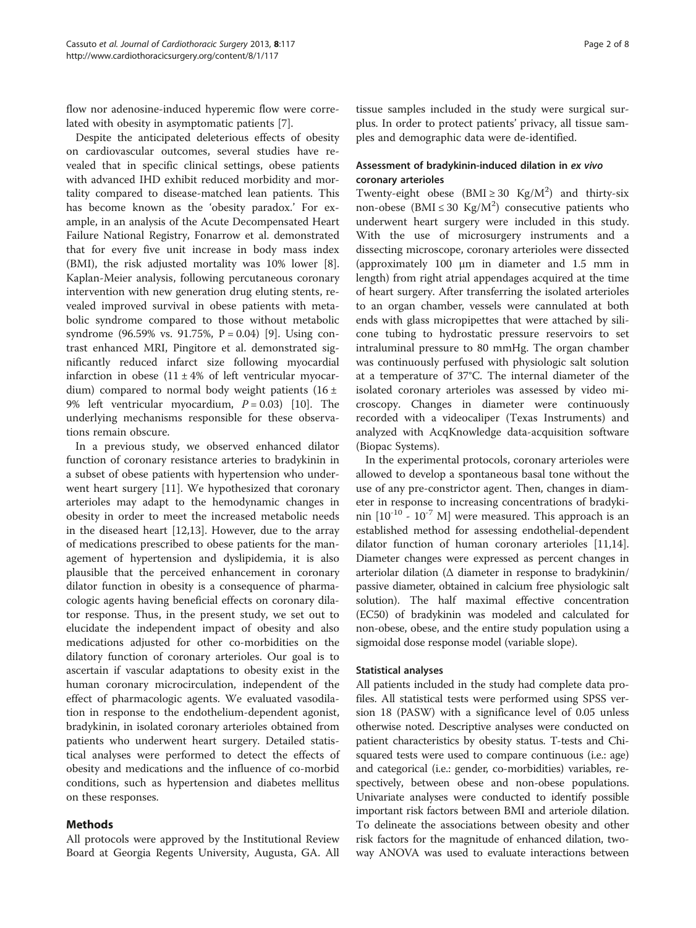flow nor adenosine-induced hyperemic flow were correlated with obesity in asymptomatic patients [[7\]](#page-7-0).

Despite the anticipated deleterious effects of obesity on cardiovascular outcomes, several studies have revealed that in specific clinical settings, obese patients with advanced IHD exhibit reduced morbidity and mortality compared to disease-matched lean patients. This has become known as the 'obesity paradox.' For example, in an analysis of the Acute Decompensated Heart Failure National Registry, Fonarrow et al. demonstrated that for every five unit increase in body mass index (BMI), the risk adjusted mortality was 10% lower [\[8](#page-7-0)]. Kaplan-Meier analysis, following percutaneous coronary intervention with new generation drug eluting stents, revealed improved survival in obese patients with metabolic syndrome compared to those without metabolic syndrome (96.59% vs. 91.75%,  $P = 0.04$ ) [[9\]](#page-7-0). Using contrast enhanced MRI, Pingitore et al. demonstrated significantly reduced infarct size following myocardial infarction in obese  $(11 \pm 4\%)$  of left ventricular myocardium) compared to normal body weight patients  $(16 \pm$ 9% left ventricular myocardium,  $P = 0.03$  [\[10](#page-7-0)]. The underlying mechanisms responsible for these observations remain obscure.

In a previous study, we observed enhanced dilator function of coronary resistance arteries to bradykinin in a subset of obese patients with hypertension who underwent heart surgery [\[11](#page-7-0)]. We hypothesized that coronary arterioles may adapt to the hemodynamic changes in obesity in order to meet the increased metabolic needs in the diseased heart [\[12,13](#page-7-0)]. However, due to the array of medications prescribed to obese patients for the management of hypertension and dyslipidemia, it is also plausible that the perceived enhancement in coronary dilator function in obesity is a consequence of pharmacologic agents having beneficial effects on coronary dilator response. Thus, in the present study, we set out to elucidate the independent impact of obesity and also medications adjusted for other co-morbidities on the dilatory function of coronary arterioles. Our goal is to ascertain if vascular adaptations to obesity exist in the human coronary microcirculation, independent of the effect of pharmacologic agents. We evaluated vasodilation in response to the endothelium-dependent agonist, bradykinin, in isolated coronary arterioles obtained from patients who underwent heart surgery. Detailed statistical analyses were performed to detect the effects of obesity and medications and the influence of co-morbid conditions, such as hypertension and diabetes mellitus on these responses.

# Methods

All protocols were approved by the Institutional Review Board at Georgia Regents University, Augusta, GA. All tissue samples included in the study were surgical surplus. In order to protect patients' privacy, all tissue samples and demographic data were de-identified.

# Assessment of bradykinin-induced dilation in ex vivo coronary arterioles

Twenty-eight obese  $(BMI \geq 30 \text{ Kg}/M^2)$  and thirty-six non-obese (BMI  $\leq 30$  Kg/M<sup>2</sup>) consecutive patients who underwent heart surgery were included in this study. With the use of microsurgery instruments and a dissecting microscope, coronary arterioles were dissected (approximately 100 μm in diameter and 1.5 mm in length) from right atrial appendages acquired at the time of heart surgery. After transferring the isolated arterioles to an organ chamber, vessels were cannulated at both ends with glass micropipettes that were attached by silicone tubing to hydrostatic pressure reservoirs to set intraluminal pressure to 80 mmHg. The organ chamber was continuously perfused with physiologic salt solution at a temperature of 37°C. The internal diameter of the isolated coronary arterioles was assessed by video microscopy. Changes in diameter were continuously recorded with a videocaliper (Texas Instruments) and analyzed with AcqKnowledge data-acquisition software (Biopac Systems).

In the experimental protocols, coronary arterioles were allowed to develop a spontaneous basal tone without the use of any pre-constrictor agent. Then, changes in diameter in response to increasing concentrations of bradykinin  $[10^{-10} - 10^{-7}$  M] were measured. This approach is an established method for assessing endothelial-dependent dilator function of human coronary arterioles [\[11,14](#page-7-0)]. Diameter changes were expressed as percent changes in arteriolar dilation (Δ diameter in response to bradykinin/ passive diameter, obtained in calcium free physiologic salt solution). The half maximal effective concentration (EC50) of bradykinin was modeled and calculated for non-obese, obese, and the entire study population using a sigmoidal dose response model (variable slope).

## Statistical analyses

All patients included in the study had complete data profiles. All statistical tests were performed using SPSS version 18 (PASW) with a significance level of 0.05 unless otherwise noted. Descriptive analyses were conducted on patient characteristics by obesity status. T-tests and Chisquared tests were used to compare continuous (i.e.: age) and categorical (i.e.: gender, co-morbidities) variables, respectively, between obese and non-obese populations. Univariate analyses were conducted to identify possible important risk factors between BMI and arteriole dilation. To delineate the associations between obesity and other risk factors for the magnitude of enhanced dilation, twoway ANOVA was used to evaluate interactions between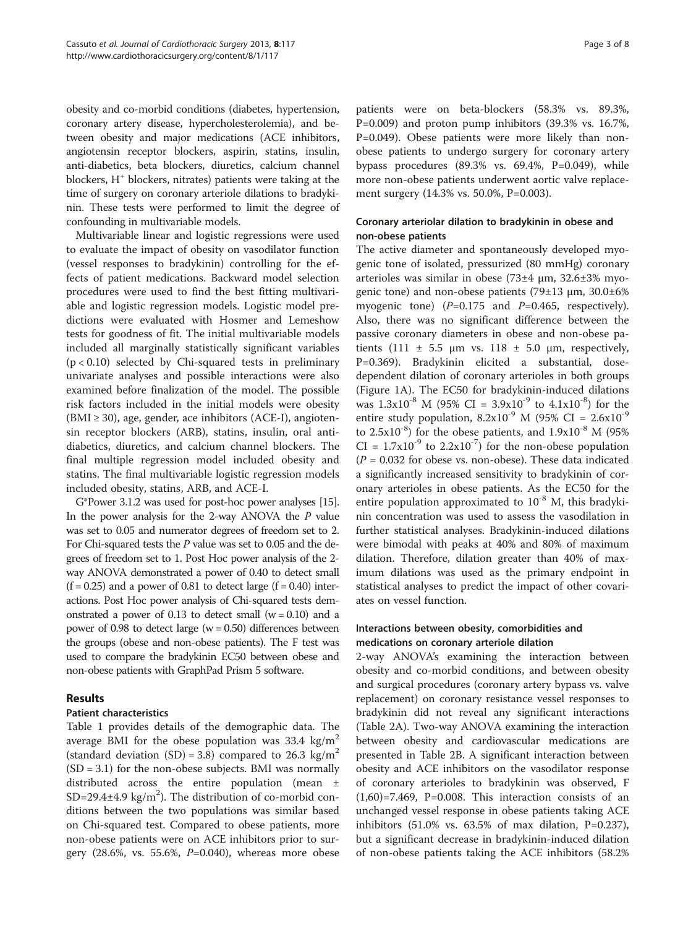obesity and co-morbid conditions (diabetes, hypertension, coronary artery disease, hypercholesterolemia), and between obesity and major medications (ACE inhibitors, angiotensin receptor blockers, aspirin, statins, insulin, anti-diabetics, beta blockers, diuretics, calcium channel blockers,  $H^+$  blockers, nitrates) patients were taking at the time of surgery on coronary arteriole dilations to bradykinin. These tests were performed to limit the degree of confounding in multivariable models.

Multivariable linear and logistic regressions were used to evaluate the impact of obesity on vasodilator function (vessel responses to bradykinin) controlling for the effects of patient medications. Backward model selection procedures were used to find the best fitting multivariable and logistic regression models. Logistic model predictions were evaluated with Hosmer and Lemeshow tests for goodness of fit. The initial multivariable models included all marginally statistically significant variables  $(p < 0.10)$  selected by Chi-squared tests in preliminary univariate analyses and possible interactions were also examined before finalization of the model. The possible risk factors included in the initial models were obesity  $(BMI \geq 30)$ , age, gender, ace inhibitors  $(ACE-I)$ , angiotensin receptor blockers (ARB), statins, insulin, oral antidiabetics, diuretics, and calcium channel blockers. The final multiple regression model included obesity and statins. The final multivariable logistic regression models included obesity, statins, ARB, and ACE-I.

G\*Power 3.1.2 was used for post-hoc power analyses [\[15](#page-7-0)]. In the power analysis for the 2-way ANOVA the P value was set to 0.05 and numerator degrees of freedom set to 2. For Chi-squared tests the P value was set to 0.05 and the degrees of freedom set to 1. Post Hoc power analysis of the 2 way ANOVA demonstrated a power of 0.40 to detect small  $(f = 0.25)$  and a power of 0.81 to detect large  $(f = 0.40)$  interactions. Post Hoc power analysis of Chi-squared tests demonstrated a power of 0.13 to detect small  $(w = 0.10)$  and a power of 0.98 to detect large  $(w = 0.50)$  differences between the groups (obese and non-obese patients). The F test was used to compare the bradykinin EC50 between obese and non-obese patients with GraphPad Prism 5 software.

# Results

# Patient characteristics

Table [1](#page-3-0) provides details of the demographic data. The average BMI for the obese population was 33.4 kg/ $m<sup>2</sup>$ (standard deviation  $(SD) = 3.8$ ) compared to 26.3 kg/m<sup>2</sup>  $(SD = 3.1)$  for the non-obese subjects. BMI was normally distributed across the entire population (mean ± SD=29.4 $\pm$ 4.9 kg/m<sup>2</sup>). The distribution of co-morbid conditions between the two populations was similar based on Chi-squared test. Compared to obese patients, more non-obese patients were on ACE inhibitors prior to surgery (28.6%, vs. 55.6%, P=0.040), whereas more obese patients were on beta-blockers (58.3% vs. 89.3%,  $P=0.009$ ) and proton pump inhibitors (39.3% vs. 16.7%, P=0.049). Obese patients were more likely than nonobese patients to undergo surgery for coronary artery bypass procedures (89.3% vs. 69.4%, P=0.049), while

Coronary arteriolar dilation to bradykinin in obese and non-obese patients

ment surgery (14.3% vs. 50.0%, P=0.003).

more non-obese patients underwent aortic valve replace-

The active diameter and spontaneously developed myogenic tone of isolated, pressurized (80 mmHg) coronary arterioles was similar in obese (73±4 μm, 32.6±3% myogenic tone) and non-obese patients (79±13 μm, 30.0±6% myogenic tone)  $(P=0.175$  and  $P=0.465$ , respectively). Also, there was no significant difference between the passive coronary diameters in obese and non-obese patients (111  $\pm$  5.5 μm vs. 118  $\pm$  5.0 μm, respectively, P=0.369). Bradykinin elicited a substantial, dosedependent dilation of coronary arterioles in both groups (Figure [1](#page-4-0)A). The EC50 for bradykinin-induced dilations was  $1.3x10^{-8}$  M (95% CI =  $3.9x10^{-9}$  to  $4.1x10^{-8}$ ) for the entire study population,  $8.2 \times 10^{-9}$  M (95% CI =  $2.6 \times 10^{-9}$ to  $2.5x10^{-8}$ ) for the obese patients, and  $1.9x10^{-8}$  M (95%)  $CI = 1.7x10^{-9}$  to  $2.2x10^{-7}$ ) for the non-obese population  $(P = 0.032$  for obese vs. non-obese). These data indicated a significantly increased sensitivity to bradykinin of coronary arterioles in obese patients. As the EC50 for the entire population approximated to  $10^{-8}$  M, this bradykinin concentration was used to assess the vasodilation in further statistical analyses. Bradykinin-induced dilations were bimodal with peaks at 40% and 80% of maximum dilation. Therefore, dilation greater than 40% of maximum dilations was used as the primary endpoint in statistical analyses to predict the impact of other covariates on vessel function.

# Interactions between obesity, comorbidities and medications on coronary arteriole dilation

2-way ANOVA's examining the interaction between obesity and co-morbid conditions, and between obesity and surgical procedures (coronary artery bypass vs. valve replacement) on coronary resistance vessel responses to bradykinin did not reveal any significant interactions (Table [2](#page-4-0)A). Two-way ANOVA examining the interaction between obesity and cardiovascular medications are presented in Table [2B](#page-4-0). A significant interaction between obesity and ACE inhibitors on the vasodilator response of coronary arterioles to bradykinin was observed, F  $(1,60)=7.469$ , P=0.008. This interaction consists of an unchanged vessel response in obese patients taking ACE inhibitors  $(51.0\% \text{ vs. } 63.5\% \text{ of } \text{max} \text{ dilation}, P=0.237)$ , but a significant decrease in bradykinin-induced dilation of non-obese patients taking the ACE inhibitors (58.2%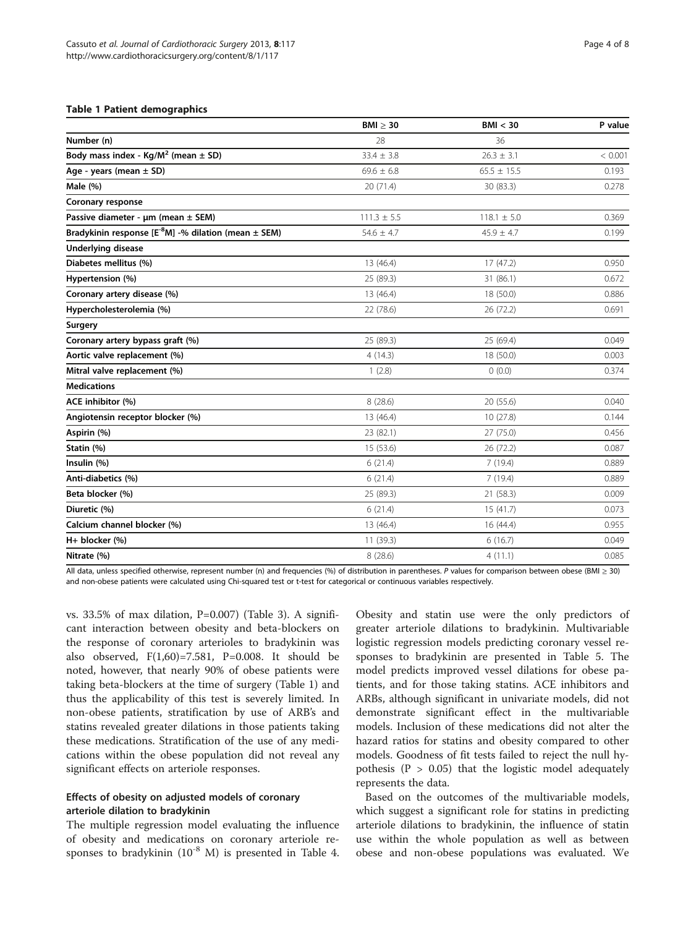## <span id="page-3-0"></span>Table 1 Patient demographics

|                                                              | $BMI \geq 30$   | BMI < 30        | P value |
|--------------------------------------------------------------|-----------------|-----------------|---------|
| Number (n)                                                   | 28              | 36              |         |
| Body mass index - $Kg/M^2$ (mean $\pm$ SD)                   | $33.4 \pm 3.8$  | $26.3 \pm 3.1$  | < 0.001 |
| Age - years (mean $\pm$ SD)                                  | $69.6 \pm 6.8$  | $65.5 \pm 15.5$ | 0.193   |
| Male (%)                                                     | 20 (71.4)       | 30 (83.3)       | 0.278   |
| Coronary response                                            |                 |                 |         |
| Passive diameter - µm (mean ± SEM)                           | $111.3 \pm 5.5$ | $118.1 \pm 5.0$ | 0.369   |
| Bradykinin response $[E^{-8}M]$ -% dilation (mean $\pm$ SEM) | $54.6 \pm 4.7$  | $45.9 \pm 4.7$  | 0.199   |
| <b>Underlying disease</b>                                    |                 |                 |         |
| Diabetes mellitus (%)                                        | 13 (46.4)       | 17(47.2)        | 0.950   |
| Hypertension (%)                                             | 25 (89.3)       | 31 (86.1)       | 0.672   |
| Coronary artery disease (%)                                  | 13(46.4)        | 18 (50.0)       | 0.886   |
| Hypercholesterolemia (%)                                     | 22 (78.6)       | 26 (72.2)       | 0.691   |
| Surgery                                                      |                 |                 |         |
| Coronary artery bypass graft (%)                             | 25 (89.3)       | 25 (69.4)       | 0.049   |
| Aortic valve replacement (%)                                 | 4(14.3)         | 18 (50.0)       | 0.003   |
| Mitral valve replacement (%)                                 | 1(2.8)          | 0(0.0)          | 0.374   |
| <b>Medications</b>                                           |                 |                 |         |
| ACE inhibitor (%)                                            | 8 (28.6)        | 20 (55.6)       | 0.040   |
| Angiotensin receptor blocker (%)                             | 13 (46.4)       | 10(27.8)        | 0.144   |
| Aspirin (%)                                                  | 23 (82.1)       | 27 (75.0)       | 0.456   |
| Statin (%)                                                   | 15 (53.6)       | 26 (72.2)       | 0.087   |
| Insulin (%)                                                  | 6(21.4)         | 7(19.4)         | 0.889   |
| Anti-diabetics (%)                                           | 6(21.4)         | 7(19.4)         | 0.889   |
| Beta blocker (%)                                             | 25 (89.3)       | 21(58.3)        | 0.009   |
| Diuretic (%)                                                 | 6(21.4)         | 15(41.7)        | 0.073   |
| Calcium channel blocker (%)                                  | 13 (46.4)       | 16(44.4)        | 0.955   |
| H+ blocker (%)                                               | 11 (39.3)       | 6(16.7)         | 0.049   |
| Nitrate (%)                                                  | 8(28.6)         | 4(11.1)         | 0.085   |

All data, unless specified otherwise, represent number (n) and frequencies (%) of distribution in parentheses. P values for comparison between obese (BMI  $\geq$  30) and non-obese patients were calculated using Chi-squared test or t-test for categorical or continuous variables respectively.

vs.  $33.5\%$  of max dilation, P=0.007) (Table [3\)](#page-5-0). A significant interaction between obesity and beta-blockers on the response of coronary arterioles to bradykinin was also observed, F(1,60)=7.581, P=0.008. It should be noted, however, that nearly 90% of obese patients were taking beta-blockers at the time of surgery (Table 1) and thus the applicability of this test is severely limited. In non-obese patients, stratification by use of ARB's and statins revealed greater dilations in those patients taking these medications. Stratification of the use of any medications within the obese population did not reveal any significant effects on arteriole responses.

# Effects of obesity on adjusted models of coronary arteriole dilation to bradykinin

The multiple regression model evaluating the influence of obesity and medications on coronary arteriole responses to bradykinin  $(10^{-8}$  M) is presented in Table [4](#page-5-0).

Obesity and statin use were the only predictors of greater arteriole dilations to bradykinin. Multivariable logistic regression models predicting coronary vessel responses to bradykinin are presented in Table [5.](#page-5-0) The model predicts improved vessel dilations for obese patients, and for those taking statins. ACE inhibitors and ARBs, although significant in univariate models, did not demonstrate significant effect in the multivariable models. Inclusion of these medications did not alter the hazard ratios for statins and obesity compared to other models. Goodness of fit tests failed to reject the null hypothesis ( $P > 0.05$ ) that the logistic model adequately represents the data.

Based on the outcomes of the multivariable models, which suggest a significant role for statins in predicting arteriole dilations to bradykinin, the influence of statin use within the whole population as well as between obese and non-obese populations was evaluated. We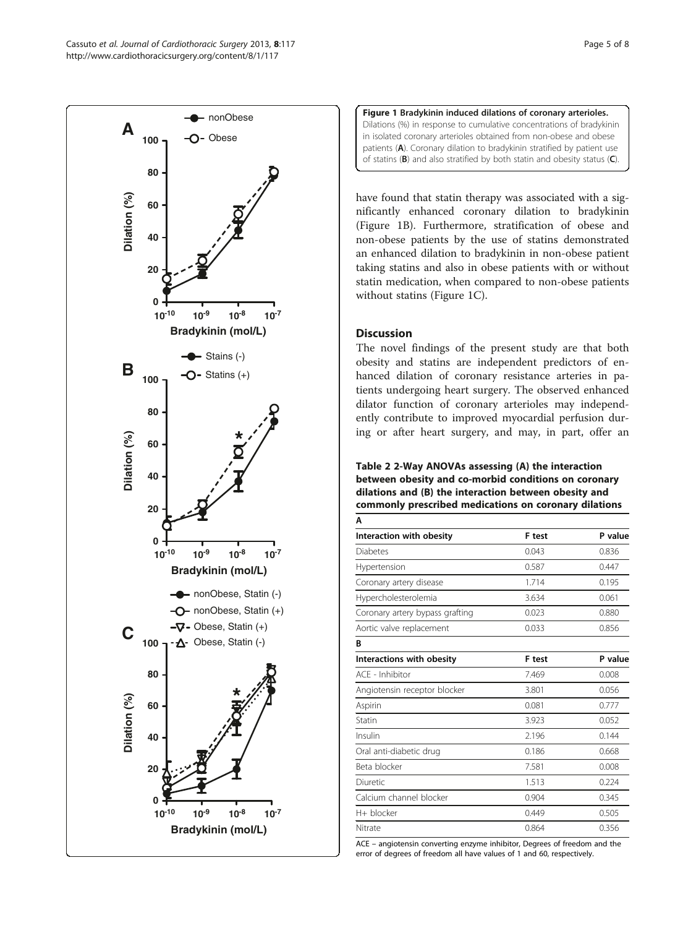<span id="page-4-0"></span>



have found that statin therapy was associated with a significantly enhanced coronary dilation to bradykinin (Figure 1B). Furthermore, stratification of obese and non-obese patients by the use of statins demonstrated an enhanced dilation to bradykinin in non-obese patient taking statins and also in obese patients with or without statin medication, when compared to non-obese patients without statins (Figure 1C).

# **Discussion**

The novel findings of the present study are that both obesity and statins are independent predictors of enhanced dilation of coronary resistance arteries in patients undergoing heart surgery. The observed enhanced dilator function of coronary arterioles may independently contribute to improved myocardial perfusion during or after heart surgery, and may, in part, offer an

Table 2 2-Way ANOVAs assessing (A) the interaction between obesity and co-morbid conditions on coronary dilations and (B) the interaction between obesity and commonly prescribed medications on coronary dilations A

| Interaction with obesity        | F test | P value |
|---------------------------------|--------|---------|
| <b>Diabetes</b>                 | 0.043  | 0.836   |
| Hypertension                    | 0.587  | 0.447   |
| Coronary artery disease         | 1.714  | 0.195   |
| Hypercholesterolemia            | 3.634  | 0.061   |
| Coronary artery bypass grafting | 0.023  | 0.880   |
| Aortic valve replacement        | 0.033  | 0.856   |
| B                               |        |         |
| Interactions with obesity       | F test | P value |
| ACF - Inhibitor                 | 7.469  | 0.008   |
| Angiotensin receptor blocker    | 3.801  | 0.056   |
| Aspirin                         | 0.081  | 0.777   |
| Statin                          | 3.923  | 0.052   |
| Insulin                         | 2.196  | 0.144   |
| Oral anti-diabetic drug         | 0.186  | 0.668   |
| Beta blocker                    | 7.581  | 0.008   |
| Diuretic                        | 1.513  | 0.224   |
| Calcium channel blocker         | 0.904  | 0.345   |
| H+ blocker                      | 0.449  | 0.505   |
| Nitrate                         | 0.864  | 0.356   |
|                                 |        |         |

ACE – angiotensin converting enzyme inhibitor, Degrees of freedom and the error of degrees of freedom all have values of 1 and 60, respectively.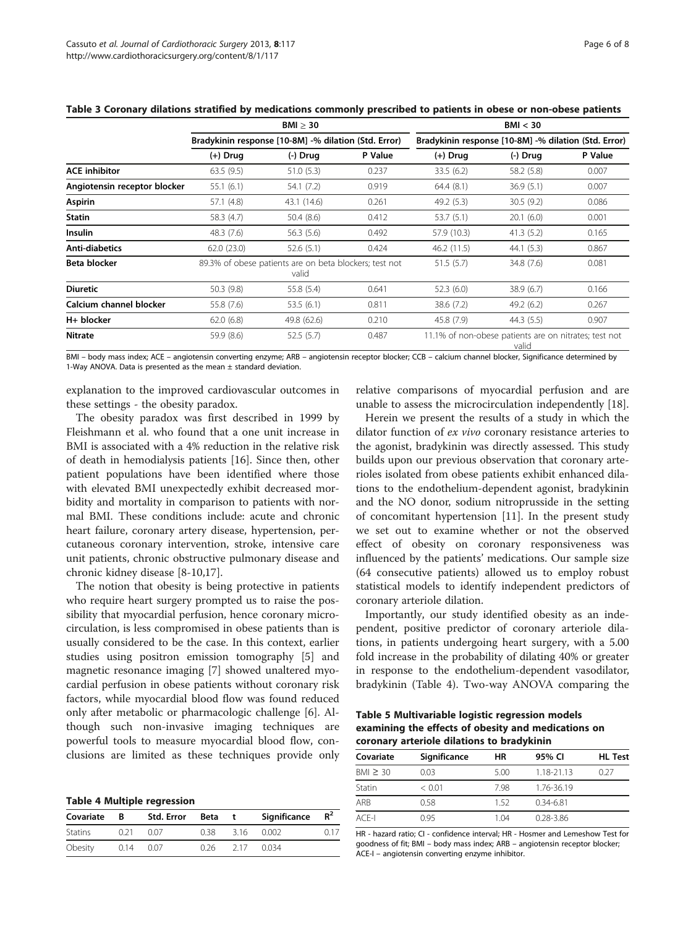<span id="page-5-0"></span>

|                              | $BMI \geq 30$<br>Bradykinin response [10-8M] -% dilation (Std. Error) |             |         | BMI < 30<br>Bradykinin response [10-8M] -% dilation (Std. Error) |            |         |
|------------------------------|-----------------------------------------------------------------------|-------------|---------|------------------------------------------------------------------|------------|---------|
|                              |                                                                       |             |         |                                                                  |            |         |
|                              | $(+)$ Drug                                                            | $(-)$ Drug  | P Value | $(+)$ Drug                                                       | $(-)$ Drug | P Value |
| <b>ACE inhibitor</b>         | 63.5(9.5)                                                             | 51.0(5.3)   | 0.237   | 33.5 (6.2)                                                       | 58.2 (5.8) | 0.007   |
| Angiotensin receptor blocker | 55.1(6.1)                                                             | 54.1 (7.2)  | 0.919   | 64.4(8.1)                                                        | 36.9(5.1)  | 0.007   |
| Aspirin                      | 57.1 (4.8)                                                            | 43.1 (14.6) | 0.261   | 49.2(5.3)                                                        | 30.5(9.2)  | 0.086   |
| Statin                       | 58.3 (4.7)                                                            | 50.4 (8.6)  | 0.412   | 53.7(5.1)                                                        | 20.1(6.0)  | 0.001   |
| <b>Insulin</b>               | 48.3 (7.6)                                                            | 56.3 (5.6)  | 0.492   | 57.9 (10.3)                                                      | 41.3(5.2)  | 0.165   |
| Anti-diabetics               | 62.0(23.0)                                                            | 52.6 (5.1)  | 0.424   | 46.2(11.5)                                                       | 44.1(5.3)  | 0.867   |
| Beta blocker                 | 89.3% of obese patients are on beta blockers; test not<br>valid       |             |         | 51.5(5.7)                                                        | 34.8 (7.6) | 0.081   |
| <b>Diuretic</b>              | 50.3 (9.8)                                                            | 55.8 (5.4)  | 0.641   | 52.3 (6.0)                                                       | 38.9(6.7)  | 0.166   |
| Calcium channel blocker      | 55.8 (7.6)                                                            | 53.5 (6.1)  | 0.811   | 38.6 (7.2)                                                       | 49.2 (6.2) | 0.267   |
| H+ blocker                   | 62.0(6.8)                                                             | 49.8 (62.6) | 0.210   | 45.8 (7.9)                                                       | 44.3(5.5)  | 0.907   |
| <b>Nitrate</b>               | 59.9 (8.6)                                                            | 52.5(5.7)   | 0.487   | 11.1% of non-obese patients are on nitrates; test not<br>valid   |            |         |

BMI – body mass index; ACE – angiotensin converting enzyme; ARB – angiotensin receptor blocker; CCB – calcium channel blocker, Significance determined by 1-Way ANOVA. Data is presented as the mean  $\pm$  standard deviation.

explanation to the improved cardiovascular outcomes in these settings - the obesity paradox.

The obesity paradox was first described in 1999 by Fleishmann et al. who found that a one unit increase in BMI is associated with a 4% reduction in the relative risk of death in hemodialysis patients [[16\]](#page-7-0). Since then, other patient populations have been identified where those with elevated BMI unexpectedly exhibit decreased morbidity and mortality in comparison to patients with normal BMI. These conditions include: acute and chronic heart failure, coronary artery disease, hypertension, percutaneous coronary intervention, stroke, intensive care unit patients, chronic obstructive pulmonary disease and chronic kidney disease [\[8-10](#page-7-0),[17](#page-7-0)].

The notion that obesity is being protective in patients who require heart surgery prompted us to raise the possibility that myocardial perfusion, hence coronary microcirculation, is less compromised in obese patients than is usually considered to be the case. In this context, earlier studies using positron emission tomography [[5\]](#page-7-0) and magnetic resonance imaging [\[7](#page-7-0)] showed unaltered myocardial perfusion in obese patients without coronary risk factors, while myocardial blood flow was found reduced only after metabolic or pharmacologic challenge [[6\]](#page-7-0). Although such non-invasive imaging techniques are powerful tools to measure myocardial blood flow, conclusions are limited as these techniques provide only

|  |  |  | <b>Table 4 Multiple regression</b> |
|--|--|--|------------------------------------|
|--|--|--|------------------------------------|

| Covariate | B.   | Std. Error | Beta | $\mathbf{f}$ | Significance | $R^2$ |
|-----------|------|------------|------|--------------|--------------|-------|
| Statins   | 0.21 | 0.07       | 0.38 | 3.16         | 0.002        | 0.17  |
| Obesity   | 0.14 | 0.07       | 026  | -217         | 0.034        |       |

relative comparisons of myocardial perfusion and are unable to assess the microcirculation independently [\[18\]](#page-7-0).

Herein we present the results of a study in which the dilator function of ex vivo coronary resistance arteries to the agonist, bradykinin was directly assessed. This study builds upon our previous observation that coronary arterioles isolated from obese patients exhibit enhanced dilations to the endothelium-dependent agonist, bradykinin and the NO donor, sodium nitroprusside in the setting of concomitant hypertension [[11\]](#page-7-0). In the present study we set out to examine whether or not the observed effect of obesity on coronary responsiveness was influenced by the patients' medications. Our sample size (64 consecutive patients) allowed us to employ robust statistical models to identify independent predictors of coronary arteriole dilation.

Importantly, our study identified obesity as an independent, positive predictor of coronary arteriole dilations, in patients undergoing heart surgery, with a 5.00 fold increase in the probability of dilating 40% or greater in response to the endothelium-dependent vasodilator, bradykinin (Table 4). Two-way ANOVA comparing the

Table 5 Multivariable logistic regression models examining the effects of obesity and medications on coronary arteriole dilations to bradykinin

| Covariate     | Significance | ΗR   | 95% CI        | <b>HL Test</b> |
|---------------|--------------|------|---------------|----------------|
| $BMI \geq 30$ | 0.03         | 5.00 | 1.18-21.13    | 0.27           |
| Statin        | < 0.01       | 798  | 1.76-36.19    |                |
| ARB           | 0.58         | 152  | $0.34 - 6.81$ |                |
| $ACF-I$       | 0.95         | 1 04 | $0.28 - 3.86$ |                |

HR - hazard ratio; CI - confidence interval; HR - Hosmer and Lemeshow Test for goodness of fit; BMI – body mass index; ARB – angiotensin receptor blocker; ACE-I – angiotensin converting enzyme inhibitor.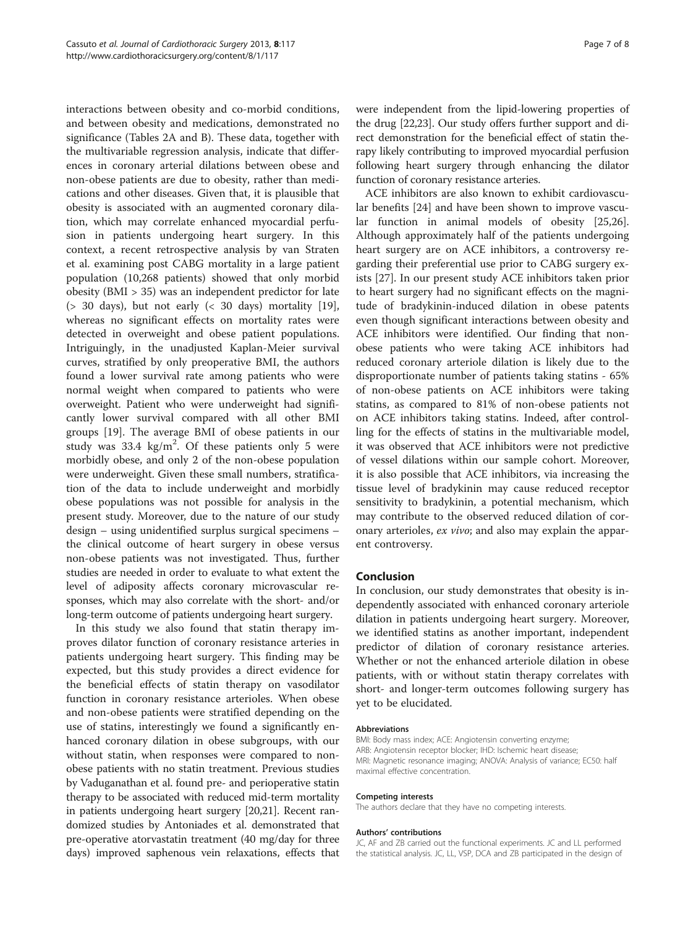interactions between obesity and co-morbid conditions, and between obesity and medications, demonstrated no significance (Tables [2](#page-4-0)A and B). These data, together with the multivariable regression analysis, indicate that differences in coronary arterial dilations between obese and non-obese patients are due to obesity, rather than medications and other diseases. Given that, it is plausible that obesity is associated with an augmented coronary dilation, which may correlate enhanced myocardial perfusion in patients undergoing heart surgery. In this context, a recent retrospective analysis by van Straten et al. examining post CABG mortality in a large patient population (10,268 patients) showed that only morbid obesity (BMI > 35) was an independent predictor for late ( $>$  30 days), but not early ( $<$  30 days) mortality [\[19](#page-7-0)], whereas no significant effects on mortality rates were detected in overweight and obese patient populations. Intriguingly, in the unadjusted Kaplan-Meier survival curves, stratified by only preoperative BMI, the authors found a lower survival rate among patients who were normal weight when compared to patients who were overweight. Patient who were underweight had significantly lower survival compared with all other BMI groups [[19\]](#page-7-0). The average BMI of obese patients in our study was  $33.4 \text{ kg/m}^2$ . Of these patients only 5 were morbidly obese, and only 2 of the non-obese population were underweight. Given these small numbers, stratification of the data to include underweight and morbidly obese populations was not possible for analysis in the present study. Moreover, due to the nature of our study design – using unidentified surplus surgical specimens – the clinical outcome of heart surgery in obese versus non-obese patients was not investigated. Thus, further studies are needed in order to evaluate to what extent the level of adiposity affects coronary microvascular responses, which may also correlate with the short- and/or long-term outcome of patients undergoing heart surgery.

In this study we also found that statin therapy improves dilator function of coronary resistance arteries in patients undergoing heart surgery. This finding may be expected, but this study provides a direct evidence for the beneficial effects of statin therapy on vasodilator function in coronary resistance arterioles. When obese and non-obese patients were stratified depending on the use of statins, interestingly we found a significantly enhanced coronary dilation in obese subgroups, with our without statin, when responses were compared to nonobese patients with no statin treatment. Previous studies by Vaduganathan et al. found pre- and perioperative statin therapy to be associated with reduced mid-term mortality in patients undergoing heart surgery [[20,21](#page-7-0)]. Recent randomized studies by Antoniades et al. demonstrated that pre-operative atorvastatin treatment (40 mg/day for three days) improved saphenous vein relaxations, effects that were independent from the lipid-lowering properties of the drug [\[22,23\]](#page-7-0). Our study offers further support and direct demonstration for the beneficial effect of statin therapy likely contributing to improved myocardial perfusion following heart surgery through enhancing the dilator function of coronary resistance arteries.

ACE inhibitors are also known to exhibit cardiovascular benefits [\[24](#page-7-0)] and have been shown to improve vascular function in animal models of obesity [\[25,26](#page-7-0)]. Although approximately half of the patients undergoing heart surgery are on ACE inhibitors, a controversy regarding their preferential use prior to CABG surgery exists [\[27](#page-7-0)]. In our present study ACE inhibitors taken prior to heart surgery had no significant effects on the magnitude of bradykinin-induced dilation in obese patents even though significant interactions between obesity and ACE inhibitors were identified. Our finding that nonobese patients who were taking ACE inhibitors had reduced coronary arteriole dilation is likely due to the disproportionate number of patients taking statins - 65% of non-obese patients on ACE inhibitors were taking statins, as compared to 81% of non-obese patients not on ACE inhibitors taking statins. Indeed, after controlling for the effects of statins in the multivariable model, it was observed that ACE inhibitors were not predictive of vessel dilations within our sample cohort. Moreover, it is also possible that ACE inhibitors, via increasing the tissue level of bradykinin may cause reduced receptor sensitivity to bradykinin, a potential mechanism, which may contribute to the observed reduced dilation of coronary arterioles, ex vivo; and also may explain the apparent controversy.

## Conclusion

In conclusion, our study demonstrates that obesity is independently associated with enhanced coronary arteriole dilation in patients undergoing heart surgery. Moreover, we identified statins as another important, independent predictor of dilation of coronary resistance arteries. Whether or not the enhanced arteriole dilation in obese patients, with or without statin therapy correlates with short- and longer-term outcomes following surgery has yet to be elucidated.

## Abbreviations

BMI: Body mass index; ACE: Angiotensin converting enzyme; ARB: Angiotensin receptor blocker; IHD: Ischemic heart disease; MRI: Magnetic resonance imaging; ANOVA: Analysis of variance; EC50: half maximal effective concentration.

#### Competing interests

The authors declare that they have no competing interests.

#### Authors' contributions

JC, AF and ZB carried out the functional experiments. JC and LL performed the statistical analysis. JC, LL, VSP, DCA and ZB participated in the design of